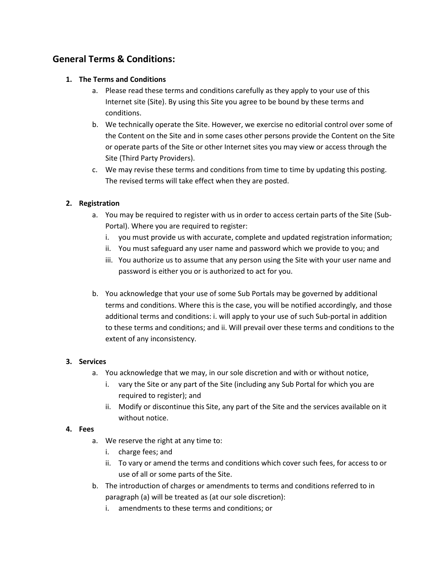# **General Terms & Conditions:**

# **1. The Terms and Conditions**

- a. Please read these terms and conditions carefully as they apply to your use of this Internet site (Site). By using this Site you agree to be bound by these terms and conditions.
- b. We technically operate the Site. However, we exercise no editorial control over some of the Content on the Site and in some cases other persons provide the Content on the Site or operate parts of the Site or other Internet sites you may view or access through the Site (Third Party Providers).
- c. We may revise these terms and conditions from time to time by updating this posting. The revised terms will take effect when they are posted.

# **2. Registration**

- a. You may be required to register with us in order to access certain parts of the Site (Sub-Portal). Where you are required to register:
	- i. you must provide us with accurate, complete and updated registration information;
	- ii. You must safeguard any user name and password which we provide to you; and
	- iii. You authorize us to assume that any person using the Site with your user name and password is either you or is authorized to act for you.
- b. You acknowledge that your use of some Sub Portals may be governed by additional terms and conditions. Where this is the case, you will be notified accordingly, and those additional terms and conditions: i. will apply to your use of such Sub-portal in addition to these terms and conditions; and ii. Will prevail over these terms and conditions to the extent of any inconsistency.

#### **3. Services**

- a. You acknowledge that we may, in our sole discretion and with or without notice,
	- i. vary the Site or any part of the Site (including any Sub Portal for which you are required to register); and
	- ii. Modify or discontinue this Site, any part of the Site and the services available on it without notice.

#### **4. Fees**

- a. We reserve the right at any time to:
	- i. charge fees; and
	- ii. To vary or amend the terms and conditions which cover such fees, for access to or use of all or some parts of the Site.
- b. The introduction of charges or amendments to terms and conditions referred to in paragraph (a) will be treated as (at our sole discretion):
	- i. amendments to these terms and conditions; or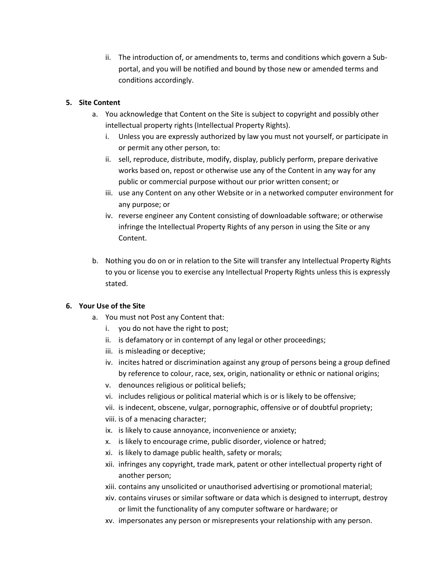ii. The introduction of, or amendments to, terms and conditions which govern a Subportal, and you will be notified and bound by those new or amended terms and conditions accordingly.

# **5. Site Content**

- a. You acknowledge that Content on the Site is subject to copyright and possibly other intellectual property rights (Intellectual Property Rights).
	- i. Unless you are expressly authorized by law you must not yourself, or participate in or permit any other person, to:
	- ii. sell, reproduce, distribute, modify, display, publicly perform, prepare derivative works based on, repost or otherwise use any of the Content in any way for any public or commercial purpose without our prior written consent; or
	- iii. use any Content on any other Website or in a networked computer environment for any purpose; or
	- iv. reverse engineer any Content consisting of downloadable software; or otherwise infringe the Intellectual Property Rights of any person in using the Site or any Content.
- b. Nothing you do on or in relation to the Site will transfer any Intellectual Property Rights to you or license you to exercise any Intellectual Property Rights unless this is expressly stated.

# **6. Your Use of the Site**

- a. You must not Post any Content that:
	- i. you do not have the right to post;
	- ii. is defamatory or in contempt of any legal or other proceedings;
	- iii. is misleading or deceptive;
	- iv. incites hatred or discrimination against any group of persons being a group defined by reference to colour, race, sex, origin, nationality or ethnic or national origins;
	- v. denounces religious or political beliefs;
	- vi. includes religious or political material which is or is likely to be offensive;
	- vii. is indecent, obscene, vulgar, pornographic, offensive or of doubtful propriety;
	- viii. is of a menacing character;
	- ix. is likely to cause annoyance, inconvenience or anxiety;
	- x. is likely to encourage crime, public disorder, violence or hatred;
	- xi. is likely to damage public health, safety or morals;
	- xii. infringes any copyright, trade mark, patent or other intellectual property right of another person;
	- xiii. contains any unsolicited or unauthorised advertising or promotional material;
	- xiv. contains viruses or similar software or data which is designed to interrupt, destroy or limit the functionality of any computer software or hardware; or
	- xv. impersonates any person or misrepresents your relationship with any person.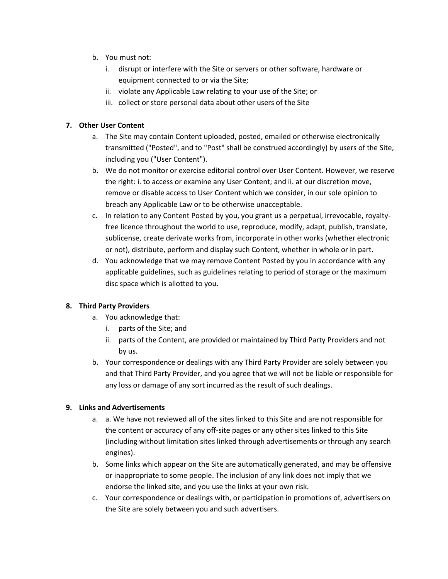- b. You must not:
	- i. disrupt or interfere with the Site or servers or other software, hardware or equipment connected to or via the Site;
	- ii. violate any Applicable Law relating to your use of the Site; or
	- iii. collect or store personal data about other users of the Site

### **7. Other User Content**

- a. The Site may contain Content uploaded, posted, emailed or otherwise electronically transmitted ("Posted", and to "Post" shall be construed accordingly) by users of the Site, including you ("User Content").
- b. We do not monitor or exercise editorial control over User Content. However, we reserve the right: i. to access or examine any User Content; and ii. at our discretion move, remove or disable access to User Content which we consider, in our sole opinion to breach any Applicable Law or to be otherwise unacceptable.
- c. In relation to any Content Posted by you, you grant us a perpetual, irrevocable, royaltyfree licence throughout the world to use, reproduce, modify, adapt, publish, translate, sublicense, create derivate works from, incorporate in other works (whether electronic or not), distribute, perform and display such Content, whether in whole or in part.
- d. You acknowledge that we may remove Content Posted by you in accordance with any applicable guidelines, such as guidelines relating to period of storage or the maximum disc space which is allotted to you.

# **8. Third Party Providers**

- a. You acknowledge that:
	- i. parts of the Site; and
	- ii. parts of the Content, are provided or maintained by Third Party Providers and not by us.
- b. Your correspondence or dealings with any Third Party Provider are solely between you and that Third Party Provider, and you agree that we will not be liable or responsible for any loss or damage of any sort incurred as the result of such dealings.

#### **9. Links and Advertisements**

- a. a. We have not reviewed all of the sites linked to this Site and are not responsible for the content or accuracy of any off-site pages or any other sites linked to this Site (including without limitation sites linked through advertisements or through any search engines).
- b. Some links which appear on the Site are automatically generated, and may be offensive or inappropriate to some people. The inclusion of any link does not imply that we endorse the linked site, and you use the links at your own risk.
- c. Your correspondence or dealings with, or participation in promotions of, advertisers on the Site are solely between you and such advertisers.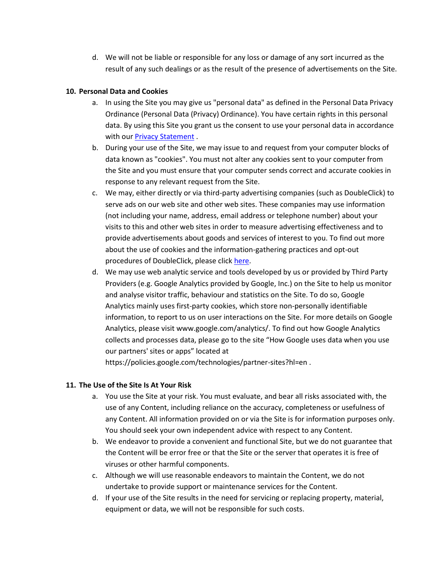d. We will not be liable or responsible for any loss or damage of any sort incurred as the result of any such dealings or as the result of the presence of advertisements on the Site.

#### **10. Personal Data and Cookies**

- a. In using the Site you may give us "personal data" as defined in the Personal Data Privacy Ordinance (Personal Data (Privacy) Ordinance). You have certain rights in this personal data. By using this Site you grant us the consent to use your personal data in accordance with our [Privacy Statement](http://www.hkt.com/Privacy+Statement?language=en_US).
- b. During your use of the Site, we may issue to and request from your computer blocks of data known as "cookies". You must not alter any cookies sent to your computer from the Site and you must ensure that your computer sends correct and accurate cookies in response to any relevant request from the Site.
- c. We may, either directly or via third-party advertising companies (such as DoubleClick) to serve ads on our web site and other web sites. These companies may use information (not including your name, address, email address or telephone number) about your visits to this and other web sites in order to measure advertising effectiveness and to provide advertisements about goods and services of interest to you. To find out more about the use of cookies and the information-gathering practices and opt-out procedures of DoubleClick, please click [here.](https://www.doubleclickbygoogle.com/)
- d. We may use web analytic service and tools developed by us or provided by Third Party Providers (e.g. Google Analytics provided by Google, Inc.) on the Site to help us monitor and analyse visitor traffic, behaviour and statistics on the Site. To do so, Google Analytics mainly uses first-party cookies, which store non-personally identifiable information, to report to us on user interactions on the Site. For more details on Google Analytics, please visit www.google.com/analytics/. To find out how Google Analytics collects and processes data, please go to the site "How Google uses data when you use our partners' sites or apps" located at

https://policies.google.com/technologies/partner-sites?hl=en .

# **11. The Use of the Site Is At Your Risk**

- a. You use the Site at your risk. You must evaluate, and bear all risks associated with, the use of any Content, including reliance on the accuracy, completeness or usefulness of any Content. All information provided on or via the Site is for information purposes only. You should seek your own independent advice with respect to any Content.
- b. We endeavor to provide a convenient and functional Site, but we do not guarantee that the Content will be error free or that the Site or the server that operates it is free of viruses or other harmful components.
- c. Although we will use reasonable endeavors to maintain the Content, we do not undertake to provide support or maintenance services for the Content.
- d. If your use of the Site results in the need for servicing or replacing property, material, equipment or data, we will not be responsible for such costs.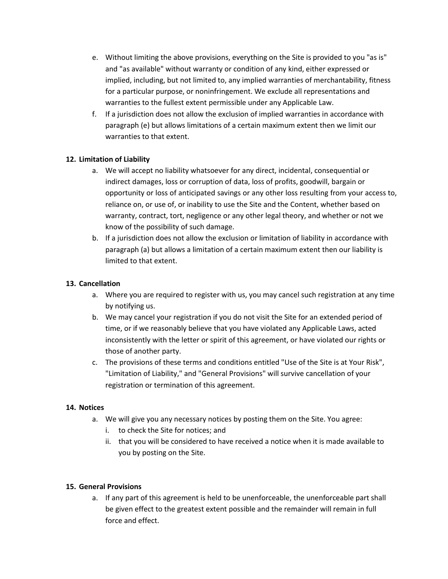- e. Without limiting the above provisions, everything on the Site is provided to you "as is" and "as available" without warranty or condition of any kind, either expressed or implied, including, but not limited to, any implied warranties of merchantability, fitness for a particular purpose, or noninfringement. We exclude all representations and warranties to the fullest extent permissible under any Applicable Law.
- f. If a jurisdiction does not allow the exclusion of implied warranties in accordance with paragraph (e) but allows limitations of a certain maximum extent then we limit our warranties to that extent.

# **12. Limitation of Liability**

- a. We will accept no liability whatsoever for any direct, incidental, consequential or indirect damages, loss or corruption of data, loss of profits, goodwill, bargain or opportunity or loss of anticipated savings or any other loss resulting from your access to, reliance on, or use of, or inability to use the Site and the Content, whether based on warranty, contract, tort, negligence or any other legal theory, and whether or not we know of the possibility of such damage.
- b. If a jurisdiction does not allow the exclusion or limitation of liability in accordance with paragraph (a) but allows a limitation of a certain maximum extent then our liability is limited to that extent.

# **13. Cancellation**

- a. Where you are required to register with us, you may cancel such registration at any time by notifying us.
- b. We may cancel your registration if you do not visit the Site for an extended period of time, or if we reasonably believe that you have violated any Applicable Laws, acted inconsistently with the letter or spirit of this agreement, or have violated our rights or those of another party.
- c. The provisions of these terms and conditions entitled "Use of the Site is at Your Risk", "Limitation of Liability," and "General Provisions" will survive cancellation of your registration or termination of this agreement.

# **14. Notices**

- a. We will give you any necessary notices by posting them on the Site. You agree:
	- i. to check the Site for notices; and
	- ii. that you will be considered to have received a notice when it is made available to you by posting on the Site.

# **15. General Provisions**

a. If any part of this agreement is held to be unenforceable, the unenforceable part shall be given effect to the greatest extent possible and the remainder will remain in full force and effect.